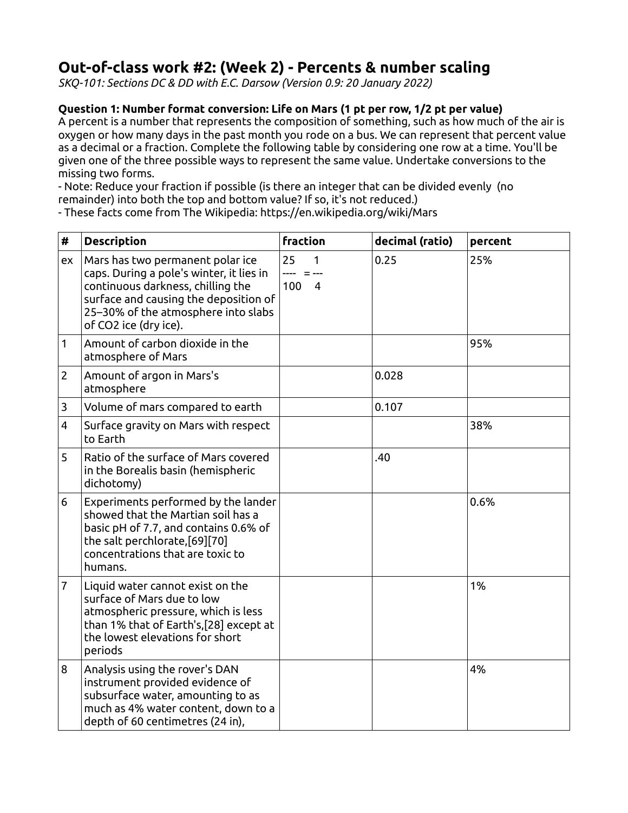# **Out-of-class work #2: (Week 2) - Percents & number scaling**

*SKQ-101: Sections DC & DD with E.C. Darsow (Version 0.9: 20 January 2022)*

### **Question 1: Number format conversion: Life on Mars (1 pt per row, 1/2 pt per value)**

A percent is a number that represents the composition of something, such as how much of the air is oxygen or how many days in the past month you rode on a bus. We can represent that percent value as a decimal or a fraction. Complete the following table by considering one row at a time. You'll be given one of the three possible ways to represent the same value. Undertake conversions to the missing two forms.

- Note: Reduce your fraction if possible (is there an integer that can be divided evenly (no remainder) into both the top and bottom value? If so, it's not reduced.)

- These facts come from The Wikipedia: https://en.wikipedia.org/wiki/Mars

| #              | <b>Description</b>                                                                                                                                                                                                         | fraction                         | decimal (ratio) | percent |
|----------------|----------------------------------------------------------------------------------------------------------------------------------------------------------------------------------------------------------------------------|----------------------------------|-----------------|---------|
| ex             | Mars has two permanent polar ice<br>caps. During a pole's winter, it lies in<br>continuous darkness, chilling the<br>surface and causing the deposition of<br>25-30% of the atmosphere into slabs<br>of CO2 ice (dry ice). | 25<br>1<br>100<br>$\overline{4}$ | 0.25            | 25%     |
| 1              | Amount of carbon dioxide in the<br>atmosphere of Mars                                                                                                                                                                      |                                  |                 | 95%     |
| $\overline{2}$ | Amount of argon in Mars's<br>atmosphere                                                                                                                                                                                    |                                  | 0.028           |         |
| 3              | Volume of mars compared to earth                                                                                                                                                                                           |                                  | 0.107           |         |
| 4              | Surface gravity on Mars with respect<br>to Earth                                                                                                                                                                           |                                  |                 | 38%     |
| 5              | Ratio of the surface of Mars covered<br>in the Borealis basin (hemispheric<br>dichotomy)                                                                                                                                   |                                  | .40             |         |
| 6              | Experiments performed by the lander<br>showed that the Martian soil has a<br>basic pH of 7.7, and contains 0.6% of<br>the salt perchlorate,[69][70]<br>concentrations that are toxic to<br>humans.                         |                                  |                 | 0.6%    |
| $\overline{7}$ | Liquid water cannot exist on the<br>surface of Mars due to low<br>atmospheric pressure, which is less<br>than 1% that of Earth's, [28] except at<br>the lowest elevations for short<br>periods                             |                                  |                 | 1%      |
| 8              | Analysis using the rover's DAN<br>instrument provided evidence of<br>subsurface water, amounting to as<br>much as 4% water content, down to a<br>depth of 60 centimetres (24 in),                                          |                                  |                 | 4%      |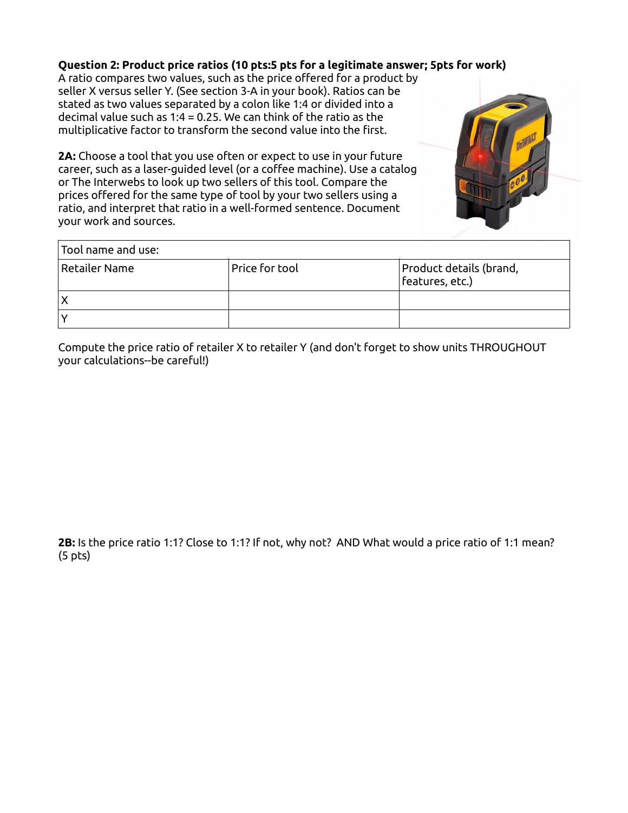## **Question 2: Product price ratios (10 pts:5 pts for a legitimate answer; 5pts for work)**

A ratio compares two values, such as the price offered for a product by seller X versus seller Y. (See section 3-A in your book). Ratios can be stated as two values separated by a colon like 1:4 or divided into a decimal value such as 1:4 = 0.25. We can think of the ratio as the multiplicative factor to transform the second value into the first.

**2A:** Choose a tool that you use often or expect to use in your future career, such as a laser-guided level (or a coffee machine). Use a catalog or The Interwebs to look up two sellers of this tool. Compare the prices offered for the same type of tool by your two sellers using a ratio, and interpret that ratio in a well-formed sentence. Document your work and sources.



| Tool name and use: $\,$ |                |                                                |  |
|-------------------------|----------------|------------------------------------------------|--|
| $\vert$ Retailer Name   | Price for tool | Product details (brand,<br>$ $ features, etc.) |  |
| X                       |                |                                                |  |
|                         |                |                                                |  |

Compute the price ratio of retailer X to retailer Y (and don't forget to show units THROUGHOUT your calculations--be careful!)

**2B:** Is the price ratio 1:1? Close to 1:1? If not, why not? AND What would a price ratio of 1:1 mean? (5 pts)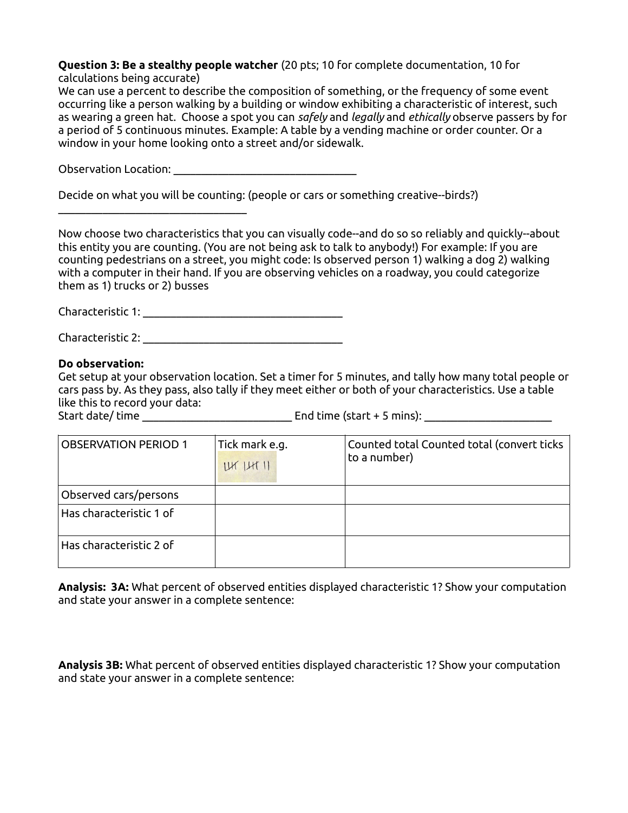#### **Question 3: Be a stealthy people watcher** (20 pts; 10 for complete documentation, 10 for calculations being accurate)

We can use a percent to describe the composition of something, or the frequency of some event occurring like a person walking by a building or window exhibiting a characteristic of interest, such as wearing a green hat. Choose a spot you can *safely* and *legally* and *ethically* observe passers by for a period of 5 continuous minutes. Example: A table by a vending machine or order counter. Or a window in your home looking onto a street and/or sidewalk.

Observation Location:

 $\overline{\phantom{a}}$  , where  $\overline{\phantom{a}}$  , where  $\overline{\phantom{a}}$  , where  $\overline{\phantom{a}}$ 

Decide on what you will be counting: (people or cars or something creative--birds?)

Now choose two characteristics that you can visually code--and do so so reliably and quickly--about this entity you are counting. (You are not being ask to talk to anybody!) For example: If you are counting pedestrians on a street, you might code: Is observed person 1) walking a dog 2) walking with a computer in their hand. If you are observing vehicles on a roadway, you could categorize them as 1) trucks or 2) busses

Characteristic 1: **Example 2018** 

Characteristic 2: \_\_\_\_\_\_\_\_\_\_\_\_\_\_\_\_\_\_\_\_\_\_\_\_\_\_\_\_\_\_\_\_\_\_\_\_

### **Do observation:**

Get setup at your observation location. Set a timer for 5 minutes, and tally how many total people or cars pass by. As they pass, also tally if they meet either or both of your characteristics. Use a table like this to record your data:

Start date/ time \_\_\_\_\_\_\_\_\_\_\_\_\_\_\_\_\_\_\_\_\_\_\_\_\_\_\_ End time (start + 5 mins): \_\_\_\_\_\_\_\_\_\_\_\_\_\_\_\_\_\_\_\_\_\_\_

| <b>OBSERVATION PERIOD 1</b> | Tick mark e.g.<br>IrrI1H11 | Counted total Counted total (convert ticks<br>to a number) |
|-----------------------------|----------------------------|------------------------------------------------------------|
| Observed cars/persons       |                            |                                                            |
| Has characteristic 1 of     |                            |                                                            |
| Has characteristic 2 of     |                            |                                                            |

**Analysis: 3A:** What percent of observed entities displayed characteristic 1? Show your computation and state your answer in a complete sentence:

**Analysis 3B:** What percent of observed entities displayed characteristic 1? Show your computation and state your answer in a complete sentence: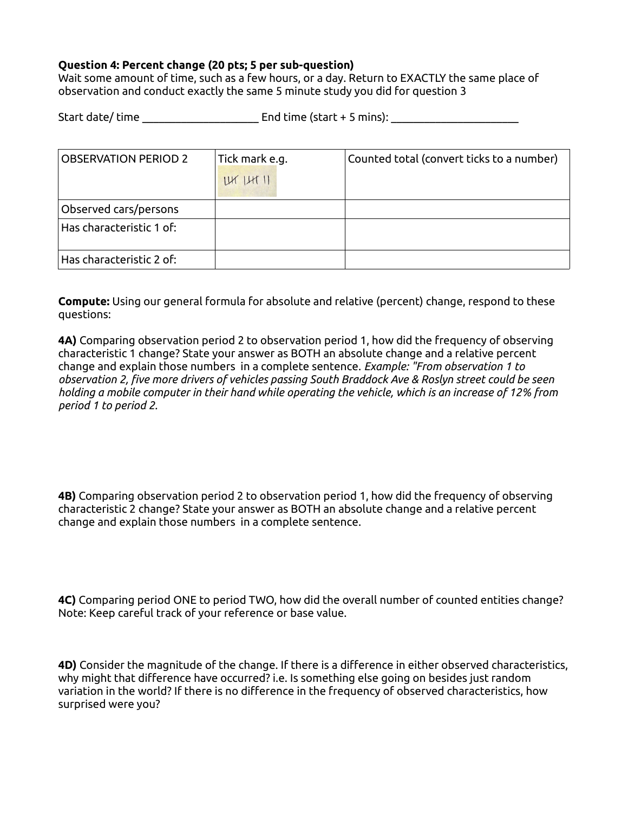### **Question 4: Percent change (20 pts; 5 per sub-question)**

Wait some amount of time, such as a few hours, or a day. Return to EXACTLY the same place of observation and conduct exactly the same 5 minute study you did for question 3

| Start date/time |  | End time (start $+$ 5 mins): |  |
|-----------------|--|------------------------------|--|
|                 |  |                              |  |

| <b>OBSERVATION PERIOD 2</b> | Tick mark e.g. | Counted total (convert ticks to a number) |
|-----------------------------|----------------|-------------------------------------------|
|                             | IrrI1H11       |                                           |
|                             |                |                                           |
| Observed cars/persons       |                |                                           |
| Has characteristic 1 of:    |                |                                           |
| Has characteristic 2 of:    |                |                                           |

**Compute:** Using our general formula for absolute and relative (percent) change, respond to these questions:

**4A)** Comparing observation period 2 to observation period 1, how did the frequency of observing characteristic 1 change? State your answer as BOTH an absolute change and a relative percent change and explain those numbers in a complete sentence. *Example: "From observation 1 to observation 2, five more drivers of vehicles passing South Braddock Ave & Roslyn street could be seen holding a mobile computer in their hand while operating the vehicle, which is an increase of 12% from period 1 to period 2.*

**4B)** Comparing observation period 2 to observation period 1, how did the frequency of observing characteristic 2 change? State your answer as BOTH an absolute change and a relative percent change and explain those numbers in a complete sentence.

**4C)** Comparing period ONE to period TWO, how did the overall number of counted entities change? Note: Keep careful track of your reference or base value.

**4D)** Consider the magnitude of the change. If there is a difference in either observed characteristics, why might that difference have occurred? i.e. Is something else going on besides just random variation in the world? If there is no difference in the frequency of observed characteristics, how surprised were you?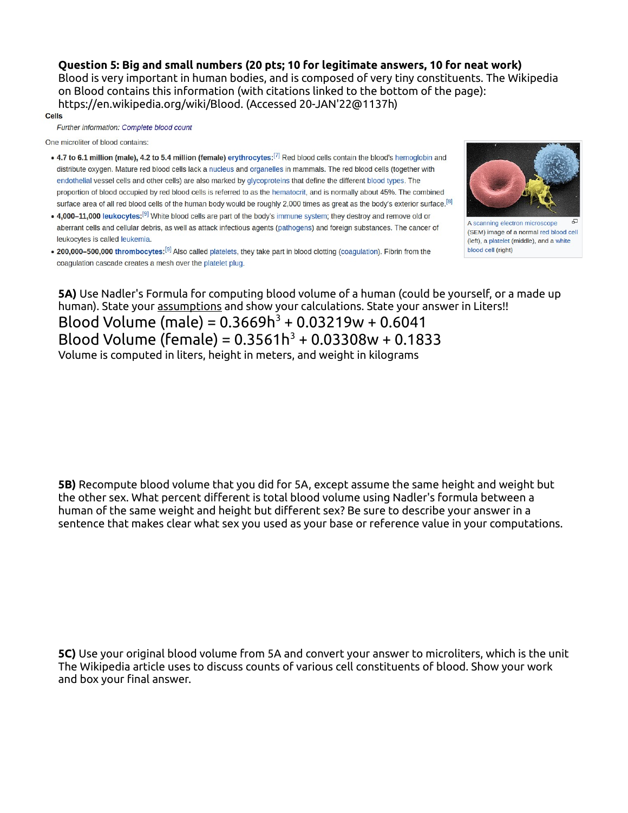**Question 5: Big and small numbers (20 pts; 10 for legitimate answers, 10 for neat work)** Blood is very important in human bodies, and is composed of very tiny constituents. The Wikipedia on Blood contains this information (with citations linked to the bottom of the page): https://en.wikipedia.org/wiki/Blood. (Accessed 20-JAN'22@1137h)

#### **Cells**

Further information: Complete blood count

One microliter of blood contains:

- 4.7 to 6.1 million (male), 4.2 to 5.4 million (female) erythrocytes:<sup>[7]</sup> Red blood cells contain the blood's hemoglobin and distribute oxygen. Mature red blood cells lack a nucleus and organelles in mammals. The red blood cells (together with endothelial vessel cells and other cells) are also marked by glycoproteins that define the different blood types. The proportion of blood occupied by red blood cells is referred to as the hematocrit, and is normally about 45%. The combined surface area of all red blood cells of the human body would be roughly 2,000 times as great as the body's exterior surface.<sup>[8]</sup>
- 4,000-11,000 leukocytes:<sup>[9]</sup> White blood cells are part of the body's immune system; they destroy and remove old or aberrant cells and cellular debris, as well as attack infectious agents (pathogens) and foreign substances. The cancer of leukocytes is called leukemia.
- . 200,000-500,000 thrombocytes:<sup>[9]</sup> Also called platelets, they take part in blood clotting (coagulation). Fibrin from the coagulation cascade creates a mesh over the platelet plug.



A scanning electron microscope (SEM) image of a normal red blood cell (left), a platelet (middle), and a white blood cell (right)

**5A)** Use Nadler's Formula for computing blood volume of a human (could be yourself, or a made up human). State your assumptions and show your calculations. State your answer in Liters!! Blood Volume (male) =  $0.3669h^3 + 0.03219w + 0.6041$ 

Blood Volume (female) =  $0.3561h^3 + 0.03308w + 0.1833$ Volume is computed in liters, height in meters, and weight in kilograms

**5B)** Recompute blood volume that you did for 5A, except assume the same height and weight but the other sex. What percent different is total blood volume using Nadler's formula between a human of the same weight and height but different sex? Be sure to describe your answer in a sentence that makes clear what sex you used as your base or reference value in your computations.

**5C)** Use your original blood volume from 5A and convert your answer to microliters, which is the unit The Wikipedia article uses to discuss counts of various cell constituents of blood. Show your work and box your final answer.